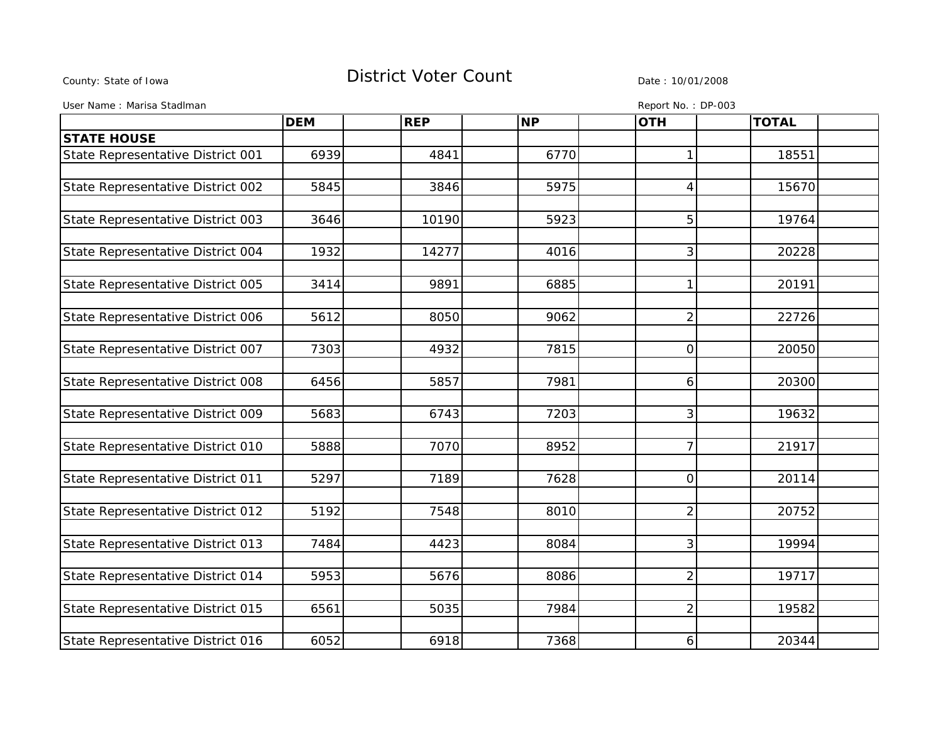## County: State of Iowa **District Voter Count** Description Date : 10/01/2008

User Name : Marisa StadIman **Report No. : DP-003** 

|                                   | <b>DEM</b> | <b>REP</b> | <b>NP</b> | <b>OTH</b>     | <b>TOTAL</b> |  |
|-----------------------------------|------------|------------|-----------|----------------|--------------|--|
| <b>STATE HOUSE</b>                |            |            |           |                |              |  |
| State Representative District 001 | 6939       | 4841       | 6770      | 1              | 18551        |  |
|                                   |            |            |           |                |              |  |
| State Representative District 002 | 5845       | 3846       | 5975      | 4              | 15670        |  |
|                                   |            |            |           |                |              |  |
| State Representative District 003 | 3646       | 10190      | 5923      | 5              | 19764        |  |
|                                   |            |            |           |                |              |  |
| State Representative District 004 | 1932       | 14277      | 4016      | 3              | 20228        |  |
|                                   |            |            |           |                |              |  |
| State Representative District 005 | 3414       | 9891       | 6885      | 1              | 20191        |  |
|                                   |            |            |           |                |              |  |
| State Representative District 006 | 5612       | 8050       | 9062      | $\overline{2}$ | 22726        |  |
|                                   |            |            |           |                |              |  |
| State Representative District 007 | 7303       | 4932       | 7815      | $\overline{0}$ | 20050        |  |
|                                   |            |            |           |                |              |  |
| State Representative District 008 | 6456       | 5857       | 7981      | 6              | 20300        |  |
|                                   |            |            |           |                |              |  |
| State Representative District 009 | 5683       | 6743       | 7203      | 3              | 19632        |  |
|                                   |            |            |           |                |              |  |
| State Representative District 010 | 5888       | 7070       | 8952      | 7              | 21917        |  |
|                                   |            |            |           |                |              |  |
| State Representative District 011 | 5297       | 7189       | 7628      | $\overline{0}$ | 20114        |  |
|                                   |            |            |           |                |              |  |
| State Representative District 012 | 5192       | 7548       | 8010      | $\overline{2}$ | 20752        |  |
|                                   |            |            |           |                |              |  |
| State Representative District 013 | 7484       | 4423       | 8084      | 3              | 19994        |  |
|                                   |            |            |           |                |              |  |
| State Representative District 014 | 5953       | 5676       | 8086      | $\overline{2}$ | 19717        |  |
|                                   |            |            |           |                |              |  |
| State Representative District 015 | 6561       | 5035       | 7984      | $\overline{2}$ | 19582        |  |
|                                   |            |            |           |                |              |  |
| State Representative District 016 | 6052       | 6918       | 7368      | 6              | 20344        |  |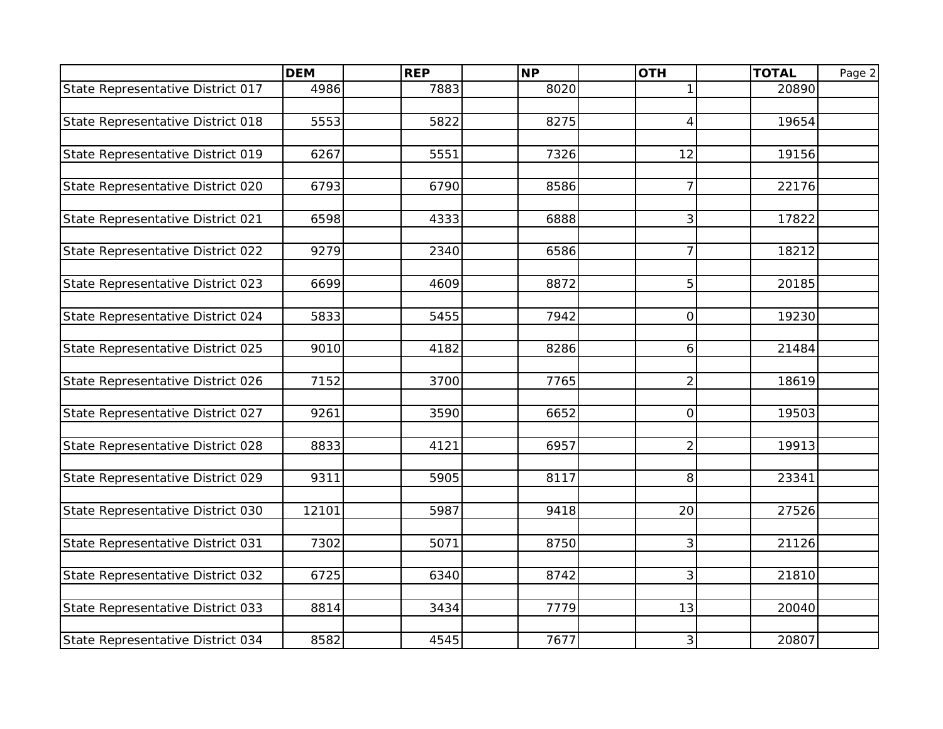|                                   | <b>DEM</b> | <b>REP</b> | <b>NP</b> | <b>OTH</b>               | <b>TOTAL</b> | Page 2 |
|-----------------------------------|------------|------------|-----------|--------------------------|--------------|--------|
| State Representative District 017 | 4986       | 7883       | 8020      | $\mathbf{1}$             | 20890        |        |
|                                   |            |            |           |                          |              |        |
| State Representative District 018 | 5553       | 5822       | 8275      | $\overline{\mathcal{A}}$ | 19654        |        |
|                                   |            |            |           |                          |              |        |
| State Representative District 019 | 6267       | 5551       | 7326      | 12                       | 19156        |        |
|                                   |            |            |           |                          |              |        |
| State Representative District 020 | 6793       | 6790       | 8586      | $\overline{7}$           | 22176        |        |
|                                   |            |            |           |                          |              |        |
| State Representative District 021 | 6598       | 4333       | 6888      | 3                        | 17822        |        |
|                                   |            |            |           |                          |              |        |
| State Representative District 022 | 9279       | 2340       | 6586      | $\overline{7}$           | 18212        |        |
|                                   |            |            |           |                          |              |        |
| State Representative District 023 | 6699       | 4609       | 8872      | 5                        | 20185        |        |
|                                   |            |            |           |                          |              |        |
| State Representative District 024 | 5833       | 5455       | 7942      | 0                        | 19230        |        |
|                                   |            |            |           |                          |              |        |
| State Representative District 025 | 9010       | 4182       | 8286      | 6                        | 21484        |        |
|                                   |            |            |           |                          |              |        |
| State Representative District 026 | 7152       | 3700       | 7765      | $\overline{2}$           | 18619        |        |
|                                   |            |            |           |                          |              |        |
| State Representative District 027 | 9261       | 3590       | 6652      | $\overline{0}$           | 19503        |        |
|                                   |            |            |           |                          |              |        |
| State Representative District 028 | 8833       | 4121       | 6957      | $\overline{2}$           | 19913        |        |
|                                   |            |            |           |                          |              |        |
| State Representative District 029 | 9311       | 5905       | 8117      | 8                        | 23341        |        |
|                                   |            |            |           |                          |              |        |
| State Representative District 030 | 12101      | 5987       | 9418      | 20                       | 27526        |        |
|                                   |            |            |           |                          |              |        |
| State Representative District 031 | 7302       | 5071       | 8750      | 3                        | 21126        |        |
|                                   | 6725       | 6340       | 8742      |                          | 21810        |        |
| State Representative District 032 |            |            |           | 3                        |              |        |
| State Representative District 033 | 8814       | 3434       | 7779      | 13                       | 20040        |        |
|                                   |            |            |           |                          |              |        |
| State Representative District 034 | 8582       | 4545       | 7677      | 3                        | 20807        |        |
|                                   |            |            |           |                          |              |        |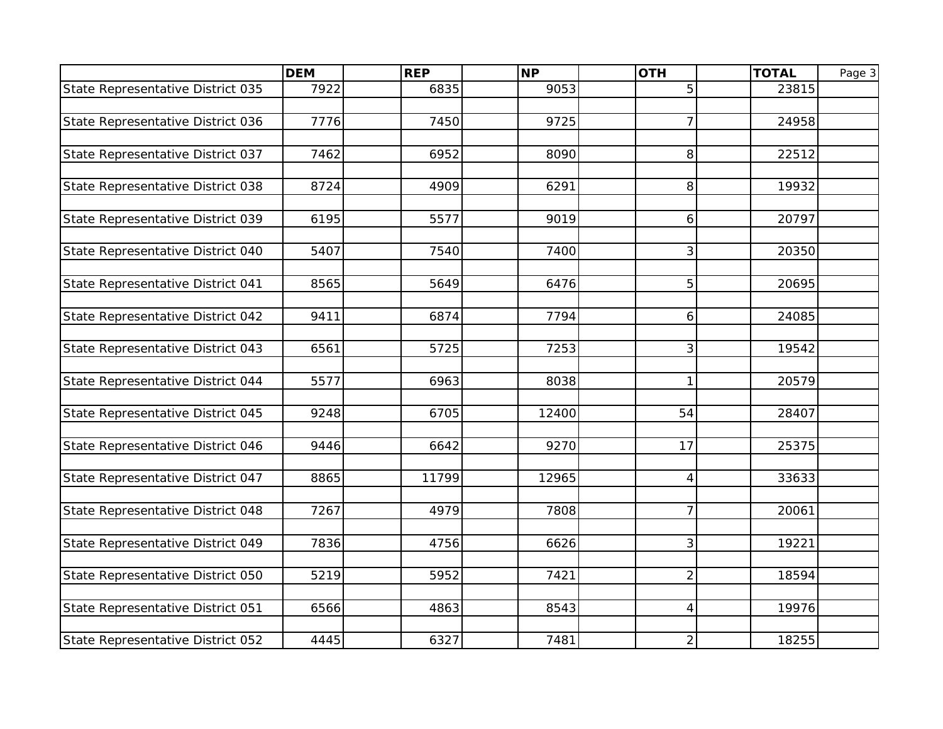| 5<br>State Representative District 035<br>7922<br>6835<br>9053<br>23815<br>$\overline{7}$<br>7776<br>7450<br>9725<br>State Representative District 036<br>24958<br>7462<br>6952<br>8<br>22512<br>State Representative District 037<br>8090<br>4909<br>6291<br>8<br>8724<br>19932<br>State Representative District 039<br>6195<br>5577<br>9019<br>20797<br>6<br>3<br>State Representative District 040<br>5407<br>7540<br>7400<br>20350<br>State Representative District 041<br>5<br>8565<br>5649<br>6476<br>20695<br>State Representative District 042<br>9411<br>6874<br>7794<br>24085<br>6<br>5725<br>7253<br>3<br>State Representative District 043<br>6561<br>19542<br>State Representative District 044<br>5577<br>6963<br>8038<br>$\mathbf{1}$<br>20579<br>State Representative District 045<br>6705<br>54<br>9248<br>12400<br>28407<br>State Representative District 046<br>17<br>25375<br>9446<br>6642<br>9270<br>11799<br>State Representative District 047<br>8865<br>12965<br>$\overline{4}$<br>33633<br>$\overline{7}$<br>State Representative District 048<br>7267<br>4979<br>7808<br>20061<br>3<br>State Representative District 049<br>7836<br>6626<br>4756<br>19221<br>State Representative District 050<br>5219<br>5952<br>7421<br>$\overline{c}$<br>18594<br>4863<br>8543<br>19976<br>State Representative District 051<br>6566<br>4 |                                   | <b>DEM</b> | <b>REP</b> | <b>NP</b> | <b>OTH</b>     | <b>TOTAL</b> | Page 3 |
|--------------------------------------------------------------------------------------------------------------------------------------------------------------------------------------------------------------------------------------------------------------------------------------------------------------------------------------------------------------------------------------------------------------------------------------------------------------------------------------------------------------------------------------------------------------------------------------------------------------------------------------------------------------------------------------------------------------------------------------------------------------------------------------------------------------------------------------------------------------------------------------------------------------------------------------------------------------------------------------------------------------------------------------------------------------------------------------------------------------------------------------------------------------------------------------------------------------------------------------------------------------------------------------------------------------------------------------------------------|-----------------------------------|------------|------------|-----------|----------------|--------------|--------|
|                                                                                                                                                                                                                                                                                                                                                                                                                                                                                                                                                                                                                                                                                                                                                                                                                                                                                                                                                                                                                                                                                                                                                                                                                                                                                                                                                        |                                   |            |            |           |                |              |        |
|                                                                                                                                                                                                                                                                                                                                                                                                                                                                                                                                                                                                                                                                                                                                                                                                                                                                                                                                                                                                                                                                                                                                                                                                                                                                                                                                                        |                                   |            |            |           |                |              |        |
|                                                                                                                                                                                                                                                                                                                                                                                                                                                                                                                                                                                                                                                                                                                                                                                                                                                                                                                                                                                                                                                                                                                                                                                                                                                                                                                                                        |                                   |            |            |           |                |              |        |
|                                                                                                                                                                                                                                                                                                                                                                                                                                                                                                                                                                                                                                                                                                                                                                                                                                                                                                                                                                                                                                                                                                                                                                                                                                                                                                                                                        |                                   |            |            |           |                |              |        |
|                                                                                                                                                                                                                                                                                                                                                                                                                                                                                                                                                                                                                                                                                                                                                                                                                                                                                                                                                                                                                                                                                                                                                                                                                                                                                                                                                        |                                   |            |            |           |                |              |        |
|                                                                                                                                                                                                                                                                                                                                                                                                                                                                                                                                                                                                                                                                                                                                                                                                                                                                                                                                                                                                                                                                                                                                                                                                                                                                                                                                                        |                                   |            |            |           |                |              |        |
|                                                                                                                                                                                                                                                                                                                                                                                                                                                                                                                                                                                                                                                                                                                                                                                                                                                                                                                                                                                                                                                                                                                                                                                                                                                                                                                                                        | State Representative District 038 |            |            |           |                |              |        |
|                                                                                                                                                                                                                                                                                                                                                                                                                                                                                                                                                                                                                                                                                                                                                                                                                                                                                                                                                                                                                                                                                                                                                                                                                                                                                                                                                        |                                   |            |            |           |                |              |        |
|                                                                                                                                                                                                                                                                                                                                                                                                                                                                                                                                                                                                                                                                                                                                                                                                                                                                                                                                                                                                                                                                                                                                                                                                                                                                                                                                                        |                                   |            |            |           |                |              |        |
|                                                                                                                                                                                                                                                                                                                                                                                                                                                                                                                                                                                                                                                                                                                                                                                                                                                                                                                                                                                                                                                                                                                                                                                                                                                                                                                                                        |                                   |            |            |           |                |              |        |
|                                                                                                                                                                                                                                                                                                                                                                                                                                                                                                                                                                                                                                                                                                                                                                                                                                                                                                                                                                                                                                                                                                                                                                                                                                                                                                                                                        |                                   |            |            |           |                |              |        |
|                                                                                                                                                                                                                                                                                                                                                                                                                                                                                                                                                                                                                                                                                                                                                                                                                                                                                                                                                                                                                                                                                                                                                                                                                                                                                                                                                        |                                   |            |            |           |                |              |        |
|                                                                                                                                                                                                                                                                                                                                                                                                                                                                                                                                                                                                                                                                                                                                                                                                                                                                                                                                                                                                                                                                                                                                                                                                                                                                                                                                                        |                                   |            |            |           |                |              |        |
|                                                                                                                                                                                                                                                                                                                                                                                                                                                                                                                                                                                                                                                                                                                                                                                                                                                                                                                                                                                                                                                                                                                                                                                                                                                                                                                                                        |                                   |            |            |           |                |              |        |
|                                                                                                                                                                                                                                                                                                                                                                                                                                                                                                                                                                                                                                                                                                                                                                                                                                                                                                                                                                                                                                                                                                                                                                                                                                                                                                                                                        |                                   |            |            |           |                |              |        |
|                                                                                                                                                                                                                                                                                                                                                                                                                                                                                                                                                                                                                                                                                                                                                                                                                                                                                                                                                                                                                                                                                                                                                                                                                                                                                                                                                        |                                   |            |            |           |                |              |        |
|                                                                                                                                                                                                                                                                                                                                                                                                                                                                                                                                                                                                                                                                                                                                                                                                                                                                                                                                                                                                                                                                                                                                                                                                                                                                                                                                                        |                                   |            |            |           |                |              |        |
|                                                                                                                                                                                                                                                                                                                                                                                                                                                                                                                                                                                                                                                                                                                                                                                                                                                                                                                                                                                                                                                                                                                                                                                                                                                                                                                                                        |                                   |            |            |           |                |              |        |
|                                                                                                                                                                                                                                                                                                                                                                                                                                                                                                                                                                                                                                                                                                                                                                                                                                                                                                                                                                                                                                                                                                                                                                                                                                                                                                                                                        |                                   |            |            |           |                |              |        |
|                                                                                                                                                                                                                                                                                                                                                                                                                                                                                                                                                                                                                                                                                                                                                                                                                                                                                                                                                                                                                                                                                                                                                                                                                                                                                                                                                        |                                   |            |            |           |                |              |        |
|                                                                                                                                                                                                                                                                                                                                                                                                                                                                                                                                                                                                                                                                                                                                                                                                                                                                                                                                                                                                                                                                                                                                                                                                                                                                                                                                                        |                                   |            |            |           |                |              |        |
|                                                                                                                                                                                                                                                                                                                                                                                                                                                                                                                                                                                                                                                                                                                                                                                                                                                                                                                                                                                                                                                                                                                                                                                                                                                                                                                                                        |                                   |            |            |           |                |              |        |
|                                                                                                                                                                                                                                                                                                                                                                                                                                                                                                                                                                                                                                                                                                                                                                                                                                                                                                                                                                                                                                                                                                                                                                                                                                                                                                                                                        |                                   |            |            |           |                |              |        |
|                                                                                                                                                                                                                                                                                                                                                                                                                                                                                                                                                                                                                                                                                                                                                                                                                                                                                                                                                                                                                                                                                                                                                                                                                                                                                                                                                        |                                   |            |            |           |                |              |        |
|                                                                                                                                                                                                                                                                                                                                                                                                                                                                                                                                                                                                                                                                                                                                                                                                                                                                                                                                                                                                                                                                                                                                                                                                                                                                                                                                                        |                                   |            |            |           |                |              |        |
|                                                                                                                                                                                                                                                                                                                                                                                                                                                                                                                                                                                                                                                                                                                                                                                                                                                                                                                                                                                                                                                                                                                                                                                                                                                                                                                                                        |                                   |            |            |           |                |              |        |
|                                                                                                                                                                                                                                                                                                                                                                                                                                                                                                                                                                                                                                                                                                                                                                                                                                                                                                                                                                                                                                                                                                                                                                                                                                                                                                                                                        |                                   |            |            |           |                |              |        |
|                                                                                                                                                                                                                                                                                                                                                                                                                                                                                                                                                                                                                                                                                                                                                                                                                                                                                                                                                                                                                                                                                                                                                                                                                                                                                                                                                        |                                   |            |            |           |                |              |        |
|                                                                                                                                                                                                                                                                                                                                                                                                                                                                                                                                                                                                                                                                                                                                                                                                                                                                                                                                                                                                                                                                                                                                                                                                                                                                                                                                                        |                                   |            |            |           |                |              |        |
|                                                                                                                                                                                                                                                                                                                                                                                                                                                                                                                                                                                                                                                                                                                                                                                                                                                                                                                                                                                                                                                                                                                                                                                                                                                                                                                                                        |                                   |            |            |           |                |              |        |
|                                                                                                                                                                                                                                                                                                                                                                                                                                                                                                                                                                                                                                                                                                                                                                                                                                                                                                                                                                                                                                                                                                                                                                                                                                                                                                                                                        |                                   |            |            |           |                |              |        |
|                                                                                                                                                                                                                                                                                                                                                                                                                                                                                                                                                                                                                                                                                                                                                                                                                                                                                                                                                                                                                                                                                                                                                                                                                                                                                                                                                        |                                   |            |            |           |                |              |        |
|                                                                                                                                                                                                                                                                                                                                                                                                                                                                                                                                                                                                                                                                                                                                                                                                                                                                                                                                                                                                                                                                                                                                                                                                                                                                                                                                                        |                                   |            |            |           |                |              |        |
|                                                                                                                                                                                                                                                                                                                                                                                                                                                                                                                                                                                                                                                                                                                                                                                                                                                                                                                                                                                                                                                                                                                                                                                                                                                                                                                                                        | State Representative District 052 | 4445       | 6327       | 7481      | $\overline{c}$ | 18255        |        |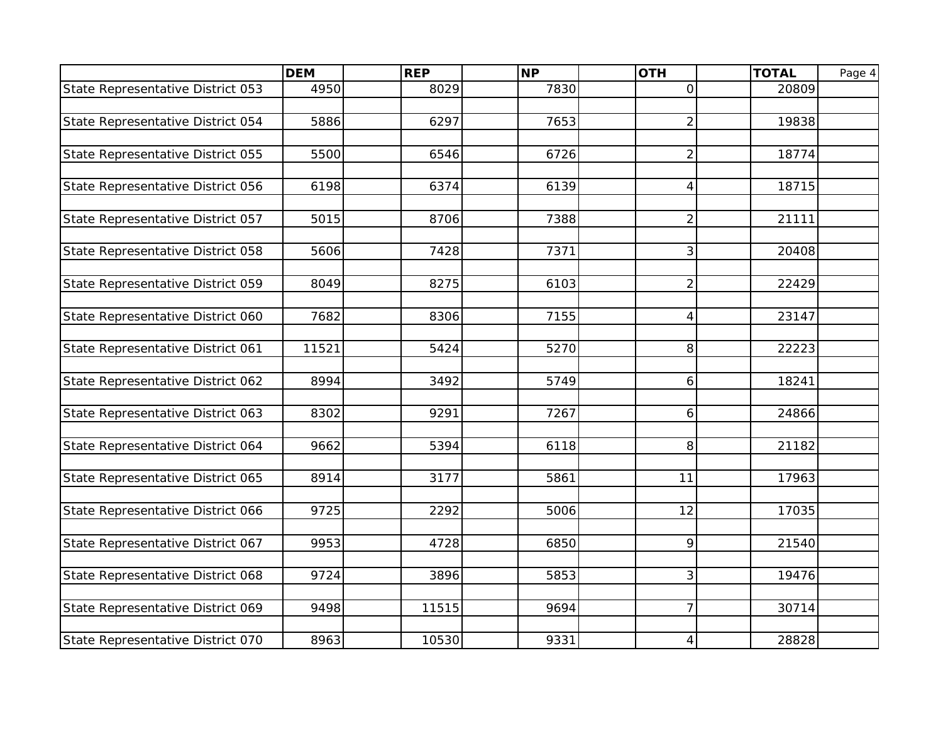| State Representative District 053<br>4950<br>8029<br>7830<br>20809<br>$\mathsf{O}$<br>5886<br>6297<br>7653<br>$\overline{2}$<br>State Representative District 054<br>19838<br>State Representative District 055<br>5500<br>6546<br>6726<br>$\overline{c}$<br>18774<br>6374<br>6139<br>18715<br>State Representative District 056<br>6198<br>4<br>State Representative District 057<br>5015<br>8706<br>7388<br>$\overline{2}$<br>21111<br>State Representative District 058<br>7428<br>7371<br>3<br>20408<br>5606<br>State Representative District 059<br>8275<br>6103<br>$\overline{c}$<br>8049<br>22429<br>7155<br>State Representative District 060<br>7682<br>23147<br>8306<br>4<br>State Representative District 061<br>11521<br>5424<br>5270<br>8<br>22223<br>State Representative District 062<br>8994<br>3492<br>5749<br>6<br>18241<br>9291<br>7267<br>State Representative District 063<br>8302<br>6<br>24866<br>8<br>State Representative District 064<br>9662<br>5394<br>6118<br>21182<br>State Representative District 065<br>8914<br>3177<br>5861<br>11<br>17963<br>9725<br>2292<br>12<br>17035<br>State Representative District 066<br>5006<br>9<br>State Representative District 067<br>9953<br>4728<br>6850<br>21540<br>3<br>19476<br>State Representative District 068<br>9724<br>3896<br>5853<br>$\overline{7}$<br>11515<br>9694<br>30714<br>State Representative District 069<br>9498 |                                   | <b>DEM</b> | <b>REP</b> | <b>NP</b> | <b>OTH</b>               | <b>TOTAL</b> | Page 4 |
|---------------------------------------------------------------------------------------------------------------------------------------------------------------------------------------------------------------------------------------------------------------------------------------------------------------------------------------------------------------------------------------------------------------------------------------------------------------------------------------------------------------------------------------------------------------------------------------------------------------------------------------------------------------------------------------------------------------------------------------------------------------------------------------------------------------------------------------------------------------------------------------------------------------------------------------------------------------------------------------------------------------------------------------------------------------------------------------------------------------------------------------------------------------------------------------------------------------------------------------------------------------------------------------------------------------------------------------------------------------------------------------------------------|-----------------------------------|------------|------------|-----------|--------------------------|--------------|--------|
|                                                                                                                                                                                                                                                                                                                                                                                                                                                                                                                                                                                                                                                                                                                                                                                                                                                                                                                                                                                                                                                                                                                                                                                                                                                                                                                                                                                                         |                                   |            |            |           |                          |              |        |
|                                                                                                                                                                                                                                                                                                                                                                                                                                                                                                                                                                                                                                                                                                                                                                                                                                                                                                                                                                                                                                                                                                                                                                                                                                                                                                                                                                                                         |                                   |            |            |           |                          |              |        |
|                                                                                                                                                                                                                                                                                                                                                                                                                                                                                                                                                                                                                                                                                                                                                                                                                                                                                                                                                                                                                                                                                                                                                                                                                                                                                                                                                                                                         |                                   |            |            |           |                          |              |        |
|                                                                                                                                                                                                                                                                                                                                                                                                                                                                                                                                                                                                                                                                                                                                                                                                                                                                                                                                                                                                                                                                                                                                                                                                                                                                                                                                                                                                         |                                   |            |            |           |                          |              |        |
|                                                                                                                                                                                                                                                                                                                                                                                                                                                                                                                                                                                                                                                                                                                                                                                                                                                                                                                                                                                                                                                                                                                                                                                                                                                                                                                                                                                                         |                                   |            |            |           |                          |              |        |
|                                                                                                                                                                                                                                                                                                                                                                                                                                                                                                                                                                                                                                                                                                                                                                                                                                                                                                                                                                                                                                                                                                                                                                                                                                                                                                                                                                                                         |                                   |            |            |           |                          |              |        |
|                                                                                                                                                                                                                                                                                                                                                                                                                                                                                                                                                                                                                                                                                                                                                                                                                                                                                                                                                                                                                                                                                                                                                                                                                                                                                                                                                                                                         |                                   |            |            |           |                          |              |        |
|                                                                                                                                                                                                                                                                                                                                                                                                                                                                                                                                                                                                                                                                                                                                                                                                                                                                                                                                                                                                                                                                                                                                                                                                                                                                                                                                                                                                         |                                   |            |            |           |                          |              |        |
|                                                                                                                                                                                                                                                                                                                                                                                                                                                                                                                                                                                                                                                                                                                                                                                                                                                                                                                                                                                                                                                                                                                                                                                                                                                                                                                                                                                                         |                                   |            |            |           |                          |              |        |
|                                                                                                                                                                                                                                                                                                                                                                                                                                                                                                                                                                                                                                                                                                                                                                                                                                                                                                                                                                                                                                                                                                                                                                                                                                                                                                                                                                                                         |                                   |            |            |           |                          |              |        |
|                                                                                                                                                                                                                                                                                                                                                                                                                                                                                                                                                                                                                                                                                                                                                                                                                                                                                                                                                                                                                                                                                                                                                                                                                                                                                                                                                                                                         |                                   |            |            |           |                          |              |        |
|                                                                                                                                                                                                                                                                                                                                                                                                                                                                                                                                                                                                                                                                                                                                                                                                                                                                                                                                                                                                                                                                                                                                                                                                                                                                                                                                                                                                         |                                   |            |            |           |                          |              |        |
|                                                                                                                                                                                                                                                                                                                                                                                                                                                                                                                                                                                                                                                                                                                                                                                                                                                                                                                                                                                                                                                                                                                                                                                                                                                                                                                                                                                                         |                                   |            |            |           |                          |              |        |
|                                                                                                                                                                                                                                                                                                                                                                                                                                                                                                                                                                                                                                                                                                                                                                                                                                                                                                                                                                                                                                                                                                                                                                                                                                                                                                                                                                                                         |                                   |            |            |           |                          |              |        |
|                                                                                                                                                                                                                                                                                                                                                                                                                                                                                                                                                                                                                                                                                                                                                                                                                                                                                                                                                                                                                                                                                                                                                                                                                                                                                                                                                                                                         |                                   |            |            |           |                          |              |        |
|                                                                                                                                                                                                                                                                                                                                                                                                                                                                                                                                                                                                                                                                                                                                                                                                                                                                                                                                                                                                                                                                                                                                                                                                                                                                                                                                                                                                         |                                   |            |            |           |                          |              |        |
|                                                                                                                                                                                                                                                                                                                                                                                                                                                                                                                                                                                                                                                                                                                                                                                                                                                                                                                                                                                                                                                                                                                                                                                                                                                                                                                                                                                                         |                                   |            |            |           |                          |              |        |
|                                                                                                                                                                                                                                                                                                                                                                                                                                                                                                                                                                                                                                                                                                                                                                                                                                                                                                                                                                                                                                                                                                                                                                                                                                                                                                                                                                                                         |                                   |            |            |           |                          |              |        |
|                                                                                                                                                                                                                                                                                                                                                                                                                                                                                                                                                                                                                                                                                                                                                                                                                                                                                                                                                                                                                                                                                                                                                                                                                                                                                                                                                                                                         |                                   |            |            |           |                          |              |        |
|                                                                                                                                                                                                                                                                                                                                                                                                                                                                                                                                                                                                                                                                                                                                                                                                                                                                                                                                                                                                                                                                                                                                                                                                                                                                                                                                                                                                         |                                   |            |            |           |                          |              |        |
|                                                                                                                                                                                                                                                                                                                                                                                                                                                                                                                                                                                                                                                                                                                                                                                                                                                                                                                                                                                                                                                                                                                                                                                                                                                                                                                                                                                                         |                                   |            |            |           |                          |              |        |
|                                                                                                                                                                                                                                                                                                                                                                                                                                                                                                                                                                                                                                                                                                                                                                                                                                                                                                                                                                                                                                                                                                                                                                                                                                                                                                                                                                                                         |                                   |            |            |           |                          |              |        |
|                                                                                                                                                                                                                                                                                                                                                                                                                                                                                                                                                                                                                                                                                                                                                                                                                                                                                                                                                                                                                                                                                                                                                                                                                                                                                                                                                                                                         |                                   |            |            |           |                          |              |        |
|                                                                                                                                                                                                                                                                                                                                                                                                                                                                                                                                                                                                                                                                                                                                                                                                                                                                                                                                                                                                                                                                                                                                                                                                                                                                                                                                                                                                         |                                   |            |            |           |                          |              |        |
|                                                                                                                                                                                                                                                                                                                                                                                                                                                                                                                                                                                                                                                                                                                                                                                                                                                                                                                                                                                                                                                                                                                                                                                                                                                                                                                                                                                                         |                                   |            |            |           |                          |              |        |
|                                                                                                                                                                                                                                                                                                                                                                                                                                                                                                                                                                                                                                                                                                                                                                                                                                                                                                                                                                                                                                                                                                                                                                                                                                                                                                                                                                                                         |                                   |            |            |           |                          |              |        |
|                                                                                                                                                                                                                                                                                                                                                                                                                                                                                                                                                                                                                                                                                                                                                                                                                                                                                                                                                                                                                                                                                                                                                                                                                                                                                                                                                                                                         |                                   |            |            |           |                          |              |        |
|                                                                                                                                                                                                                                                                                                                                                                                                                                                                                                                                                                                                                                                                                                                                                                                                                                                                                                                                                                                                                                                                                                                                                                                                                                                                                                                                                                                                         |                                   |            |            |           |                          |              |        |
|                                                                                                                                                                                                                                                                                                                                                                                                                                                                                                                                                                                                                                                                                                                                                                                                                                                                                                                                                                                                                                                                                                                                                                                                                                                                                                                                                                                                         |                                   |            |            |           |                          |              |        |
|                                                                                                                                                                                                                                                                                                                                                                                                                                                                                                                                                                                                                                                                                                                                                                                                                                                                                                                                                                                                                                                                                                                                                                                                                                                                                                                                                                                                         |                                   |            |            |           |                          |              |        |
|                                                                                                                                                                                                                                                                                                                                                                                                                                                                                                                                                                                                                                                                                                                                                                                                                                                                                                                                                                                                                                                                                                                                                                                                                                                                                                                                                                                                         |                                   |            |            |           |                          |              |        |
|                                                                                                                                                                                                                                                                                                                                                                                                                                                                                                                                                                                                                                                                                                                                                                                                                                                                                                                                                                                                                                                                                                                                                                                                                                                                                                                                                                                                         |                                   |            |            |           |                          |              |        |
|                                                                                                                                                                                                                                                                                                                                                                                                                                                                                                                                                                                                                                                                                                                                                                                                                                                                                                                                                                                                                                                                                                                                                                                                                                                                                                                                                                                                         |                                   |            |            |           |                          |              |        |
|                                                                                                                                                                                                                                                                                                                                                                                                                                                                                                                                                                                                                                                                                                                                                                                                                                                                                                                                                                                                                                                                                                                                                                                                                                                                                                                                                                                                         | State Representative District 070 | 8963       | 10530      | 9331      | $\overline{\mathcal{A}}$ | 28828        |        |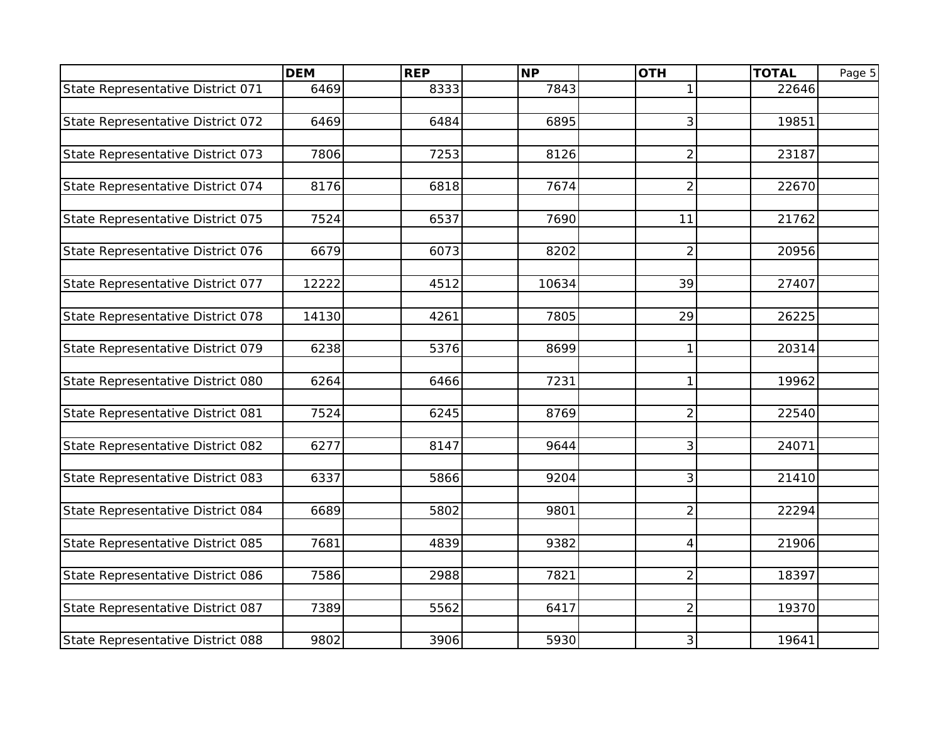| State Representative District 071<br>6469<br>8333<br>7843<br>22646<br>1<br>6469<br>6895<br>3<br>State Representative District 072<br>6484<br>19851 |  |
|----------------------------------------------------------------------------------------------------------------------------------------------------|--|
|                                                                                                                                                    |  |
|                                                                                                                                                    |  |
|                                                                                                                                                    |  |
|                                                                                                                                                    |  |
| 7253<br>State Representative District 073<br>7806<br>8126<br>$\overline{c}$<br>23187                                                               |  |
|                                                                                                                                                    |  |
| 7674<br>$\overline{c}$<br>22670<br>State Representative District 074<br>8176<br>6818                                                               |  |
|                                                                                                                                                    |  |
| State Representative District 075<br>7524<br>6537<br>7690<br>21762<br>11                                                                           |  |
|                                                                                                                                                    |  |
| State Representative District 076<br>6679<br>6073<br>8202<br>$\overline{c}$<br>20956                                                               |  |
|                                                                                                                                                    |  |
| State Representative District 077<br>12222<br>10634<br>39<br>4512<br>27407                                                                         |  |
|                                                                                                                                                    |  |
| State Representative District 078<br>14130<br>7805<br>29<br>26225<br>4261                                                                          |  |
|                                                                                                                                                    |  |
| State Representative District 079<br>6238<br>5376<br>8699<br>$\mathbf{1}$<br>20314                                                                 |  |
|                                                                                                                                                    |  |
| 7231<br>$\mathbf{1}$<br>State Representative District 080<br>6264<br>6466<br>19962                                                                 |  |
|                                                                                                                                                    |  |
| 8769<br>$\overline{2}$<br>State Representative District 081<br>7524<br>6245<br>22540                                                               |  |
|                                                                                                                                                    |  |
| 3<br>State Representative District 082<br>6277<br>8147<br>9644<br>24071                                                                            |  |
|                                                                                                                                                    |  |
| 3<br>State Representative District 083<br>6337<br>9204<br>21410<br>5866                                                                            |  |
|                                                                                                                                                    |  |
| $\overline{2}$<br>State Representative District 084<br>6689<br>5802<br>9801<br>22294                                                               |  |
|                                                                                                                                                    |  |
| State Representative District 085<br>4839<br>9382<br>7681<br>4<br>21906                                                                            |  |
| 2988<br>7821<br>$\overline{c}$<br>State Representative District 086<br>7586<br>18397                                                               |  |
|                                                                                                                                                    |  |
| 7389<br>5562<br>6417<br>$\overline{c}$<br>19370<br>State Representative District 087                                                               |  |
|                                                                                                                                                    |  |
| 3<br>State Representative District 088<br>9802<br>3906<br>5930<br>19641                                                                            |  |